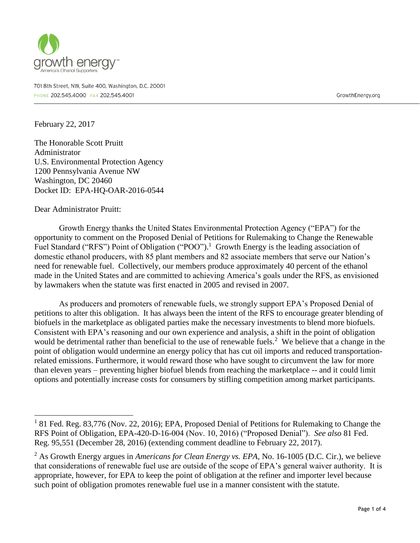

701 8th Street, NW, Suite 400, Washington, D.C. 20001 PHONE 202.545.4000 FAX 202.545.4001

GrowthEnergy.org

February 22, 2017

The Honorable Scott Pruitt Administrator U.S. Environmental Protection Agency 1200 Pennsylvania Avenue NW Washington, DC 20460 Docket ID: EPA-HQ-OAR-2016-0544

Dear Administrator Pruitt:

 $\overline{a}$ 

Growth Energy thanks the United States Environmental Protection Agency ("EPA") for the opportunity to comment on the Proposed Denial of Petitions for Rulemaking to Change the Renewable Fuel Standard ("RFS") Point of Obligation ("POO").<sup>1</sup> Growth Energy is the leading association of domestic ethanol producers, with 85 plant members and 82 associate members that serve our Nation's need for renewable fuel. Collectively, our members produce approximately 40 percent of the ethanol made in the United States and are committed to achieving America's goals under the RFS, as envisioned by lawmakers when the statute was first enacted in 2005 and revised in 2007.

As producers and promoters of renewable fuels, we strongly support EPA's Proposed Denial of petitions to alter this obligation. It has always been the intent of the RFS to encourage greater blending of biofuels in the marketplace as obligated parties make the necessary investments to blend more biofuels. Consistent with EPA's reasoning and our own experience and analysis, a shift in the point of obligation would be detrimental rather than beneficial to the use of renewable fuels.<sup>2</sup> We believe that a change in the point of obligation would undermine an energy policy that has cut oil imports and reduced transportationrelated emissions. Furthermore, it would reward those who have sought to circumvent the law for more than eleven years – preventing higher biofuel blends from reaching the marketplace -- and it could limit options and potentially increase costs for consumers by stifling competition among market participants.

<sup>&</sup>lt;sup>1</sup> 81 Fed. Reg. 83,776 (Nov. 22, 2016); EPA, Proposed Denial of Petitions for Rulemaking to Change the RFS Point of Obligation, EPA-420-D-16-004 (Nov. 10, 2016) ("Proposed Denial"). *See also* 81 Fed. Reg. 95,551 (December 28, 2016) (extending comment deadline to February 22, 2017).

<sup>2</sup> As Growth Energy argues in *Americans for Clean Energy vs. EPA*, No. 16-1005 (D.C. Cir.), we believe that considerations of renewable fuel use are outside of the scope of EPA's general waiver authority. It is appropriate, however, for EPA to keep the point of obligation at the refiner and importer level because such point of obligation promotes renewable fuel use in a manner consistent with the statute.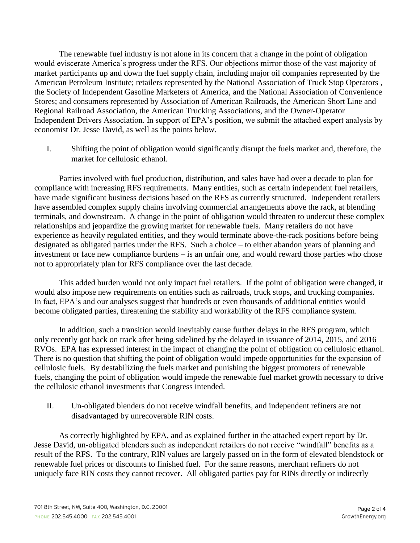The renewable fuel industry is not alone in its concern that a change in the point of obligation would eviscerate America's progress under the RFS. Our objections mirror those of the vast majority of market participants up and down the fuel supply chain, including major oil companies represented by the American Petroleum Institute; retailers represented by the National Association of Truck Stop Operators , the Society of Independent Gasoline Marketers of America, and the National Association of Convenience Stores; and consumers represented by Association of American Railroads, the American Short Line and Regional Railroad Association, the American Trucking Associations, and the Owner-Operator Independent Drivers Association. In support of EPA's position, we submit the attached expert analysis by economist Dr. Jesse David, as well as the points below.

I. Shifting the point of obligation would significantly disrupt the fuels market and, therefore, the market for cellulosic ethanol.

Parties involved with fuel production, distribution, and sales have had over a decade to plan for compliance with increasing RFS requirements. Many entities, such as certain independent fuel retailers, have made significant business decisions based on the RFS as currently structured. Independent retailers have assembled complex supply chains involving commercial arrangements above the rack, at blending terminals, and downstream. A change in the point of obligation would threaten to undercut these complex relationships and jeopardize the growing market for renewable fuels. Many retailers do not have experience as heavily regulated entities, and they would terminate above-the-rack positions before being designated as obligated parties under the RFS. Such a choice – to either abandon years of planning and investment or face new compliance burdens – is an unfair one, and would reward those parties who chose not to appropriately plan for RFS compliance over the last decade.

This added burden would not only impact fuel retailers. If the point of obligation were changed, it would also impose new requirements on entities such as railroads, truck stops, and trucking companies. In fact, EPA's and our analyses suggest that hundreds or even thousands of additional entities would become obligated parties, threatening the stability and workability of the RFS compliance system.

In addition, such a transition would inevitably cause further delays in the RFS program, which only recently got back on track after being sidelined by the delayed in issuance of 2014, 2015, and 2016 RVOs. EPA has expressed interest in the impact of changing the point of obligation on cellulosic ethanol. There is no question that shifting the point of obligation would impede opportunities for the expansion of cellulosic fuels. By destabilizing the fuels market and punishing the biggest promoters of renewable fuels, changing the point of obligation would impede the renewable fuel market growth necessary to drive the cellulosic ethanol investments that Congress intended.

II. Un-obligated blenders do not receive windfall benefits, and independent refiners are not disadvantaged by unrecoverable RIN costs.

As correctly highlighted by EPA, and as explained further in the attached expert report by Dr. Jesse David, un-obligated blenders such as independent retailers do not receive "windfall" benefits as a result of the RFS. To the contrary, RIN values are largely passed on in the form of elevated blendstock or renewable fuel prices or discounts to finished fuel. For the same reasons, merchant refiners do not uniquely face RIN costs they cannot recover. All obligated parties pay for RINs directly or indirectly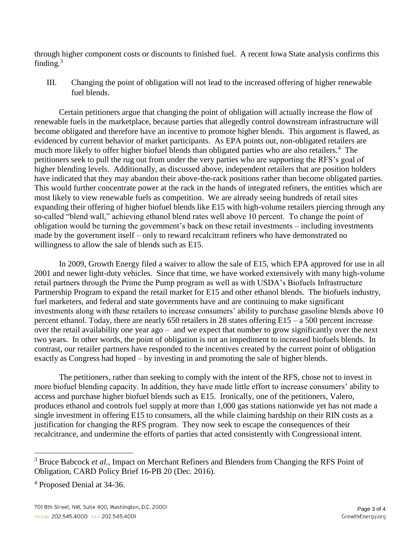through higher component costs or discounts to finished fuel. A recent Iowa State analysis confirms this finding. $3$ 

III. Changing the point of obligation will not lead to the increased offering of higher renewable fuel blends.

Certain petitioners argue that changing the point of obligation will actually increase the flow of renewable fuels in the marketplace, because parties that allegedly control downstream infrastructure will become obligated and therefore have an incentive to promote higher blends. This argument is flawed, as evidenced by current behavior of market participants. As EPA points out, non-obligated retailers are much more likely to offer higher biofuel blends than obligated parties who are also retailers.<sup>4</sup> The petitioners seek to pull the rug out from under the very parties who are supporting the RFS's goal of higher blending levels. Additionally, as discussed above, independent retailers that are position holders have indicated that they may abandon their above-the-rack positions rather than become obligated parties. This would further concentrate power at the rack in the hands of integrated refiners, the entities which are most likely to view renewable fuels as competition. We are already seeing hundreds of retail sites expanding their offering of higher biofuel blends like E15 with high-volume retailers piercing through any so-called "blend wall," achieving ethanol blend rates well above 10 percent. To change the point of obligation would be turning the government's back on these retail investments – including investments made by the government itself – only to reward recalcitrant refiners who have demonstrated no willingness to allow the sale of blends such as E15.

In 2009, Growth Energy filed a waiver to allow the sale of E15, which EPA approved for use in all 2001 and newer light-duty vehicles. Since that time, we have worked extensively with many high-volume retail partners through the Prime the Pump program as well as with USDA's Biofuels Infrastructure Partnership Program to expand the retail market for E15 and other ethanol blends. The biofuels industry, fuel marketers, and federal and state governments have and are continuing to make significant investments along with these retailers to increase consumers' ability to purchase gasoline blends above 10 percent ethanol. Today, there are nearly 650 retailers in 28 states offering E15 – a 500 percent increase over the retail availability one year ago – and we expect that number to grow significantly over the next two years. In other words, the point of obligation is not an impediment to increased biofuels blends. In contrast, our retailer partners have responded to the incentives created by the current point of obligation exactly as Congress had hoped – by investing in and promoting the sale of higher blends.

The petitioners, rather than seeking to comply with the intent of the RFS, chose not to invest in more biofuel blending capacity. In addition, they have made little effort to increase consumers' ability to access and purchase higher biofuel blends such as E15. Ironically, one of the petitioners, Valero, produces ethanol and controls fuel supply at more than 1,000 gas stations nationwide yet has not made a single investment in offering E15 to consumers, all the while claiming hardship on their RIN costs as a justification for changing the RFS program. They now seek to escape the consequences of their recalcitrance, and undermine the efforts of parties that acted consistently with Congressional intent.

 $\overline{a}$ 

<sup>&</sup>lt;sup>3</sup> Bruce Babcock *et al.*, Impact on Merchant Refiners and Blenders from Changing the RFS Point of Obligation, CARD Policy Brief 16-PB 20 (Dec. 2016).

<sup>4</sup> Proposed Denial at 34-36.